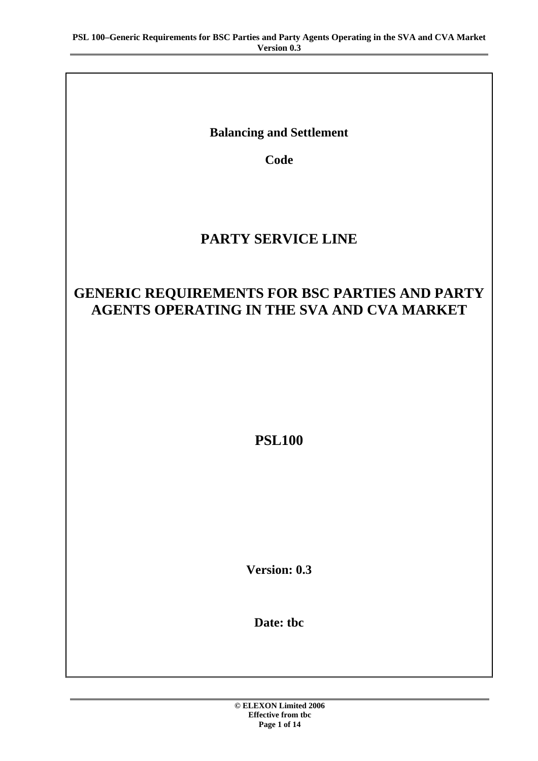**Balancing and Settlement** 

**Code** 

# **PARTY SERVICE LINE**

# **GENERIC REQUIREMENTS FOR BSC PARTIES AND PARTY AGENTS OPERATING IN THE SVA AND CVA MARKET**

**PSL100** 

**Version: 0.3** 

**Date: tbc**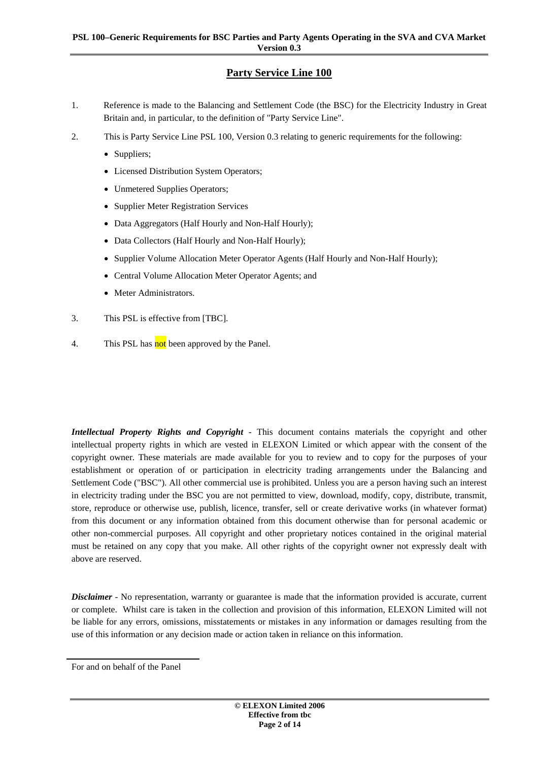## **Party Service Line 100**

- 1. Reference is made to the Balancing and Settlement Code (the BSC) for the Electricity Industry in Great Britain and, in particular, to the definition of "Party Service Line".
- 2. This is Party Service Line PSL 100, Version 0.3 relating to generic requirements for the following:
	- Suppliers;
	- Licensed Distribution System Operators;
	- Unmetered Supplies Operators;
	- Supplier Meter Registration Services
	- Data Aggregators (Half Hourly and Non-Half Hourly);
	- Data Collectors (Half Hourly and Non-Half Hourly);
	- Supplier Volume Allocation Meter Operator Agents (Half Hourly and Non-Half Hourly);
	- Central Volume Allocation Meter Operator Agents; and
	- Meter Administrators.
- 3. This PSL is effective from [TBC].
- 4. This PSL has not been approved by the Panel.

*Intellectual Property Rights and Copyright* - This document contains materials the copyright and other intellectual property rights in which are vested in ELEXON Limited or which appear with the consent of the copyright owner. These materials are made available for you to review and to copy for the purposes of your establishment or operation of or participation in electricity trading arrangements under the Balancing and Settlement Code ("BSC"). All other commercial use is prohibited. Unless you are a person having such an interest in electricity trading under the BSC you are not permitted to view, download, modify, copy, distribute, transmit, store, reproduce or otherwise use, publish, licence, transfer, sell or create derivative works (in whatever format) from this document or any information obtained from this document otherwise than for personal academic or other non-commercial purposes. All copyright and other proprietary notices contained in the original material must be retained on any copy that you make. All other rights of the copyright owner not expressly dealt with above are reserved.

*Disclaimer* - No representation, warranty or guarantee is made that the information provided is accurate, current or complete. Whilst care is taken in the collection and provision of this information, ELEXON Limited will not be liable for any errors, omissions, misstatements or mistakes in any information or damages resulting from the use of this information or any decision made or action taken in reliance on this information.

For and on behalf of the Panel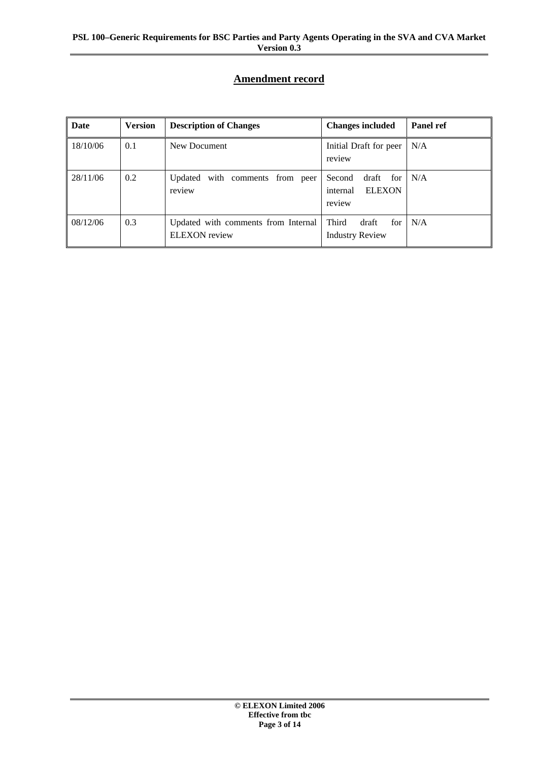## **Amendment record**

| Date     | <b>Version</b> | <b>Description of Changes</b>                               | <b>Changes included</b>                                       | <b>Panel ref</b> |
|----------|----------------|-------------------------------------------------------------|---------------------------------------------------------------|------------------|
| 18/10/06 | 0.1            | New Document                                                | Initial Draft for peer<br>review                              | N/A              |
| 28/11/06 | 0.2            | Updated with comments from peer<br>review                   | Second<br>draft<br>for<br><b>ELEXON</b><br>internal<br>review | N/A              |
| 08/12/06 | 0.3            | Updated with comments from Internal<br><b>ELEXON</b> review | Third<br>draft<br>for<br><b>Industry Review</b>               | N/A              |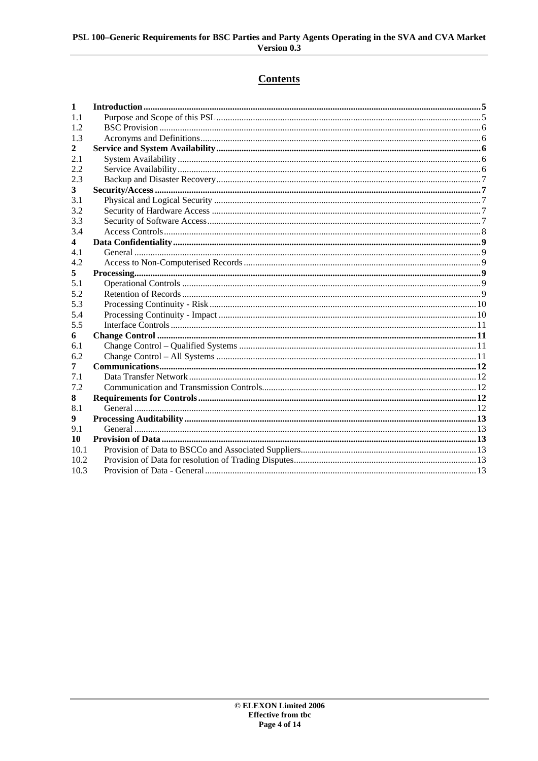# **Contents**

| 1    |  |
|------|--|
| 1.1  |  |
| 1.2  |  |
| 1.3  |  |
| 2    |  |
| 2.1  |  |
| 2.2  |  |
| 2.3  |  |
| 3    |  |
| 3.1  |  |
| 3.2  |  |
| 3.3  |  |
| 3.4  |  |
| 4    |  |
| 4.1  |  |
| 4.2  |  |
| 5    |  |
| 5.1  |  |
| 5.2  |  |
| 5.3  |  |
| 5.4  |  |
| 5.5  |  |
| 6    |  |
| 6.1  |  |
| 6.2  |  |
| 7    |  |
| 7.1  |  |
| 7.2  |  |
| 8    |  |
| 8.1  |  |
| 9    |  |
| 9.1  |  |
| 10   |  |
| 10.1 |  |
| 10.2 |  |
| 10.3 |  |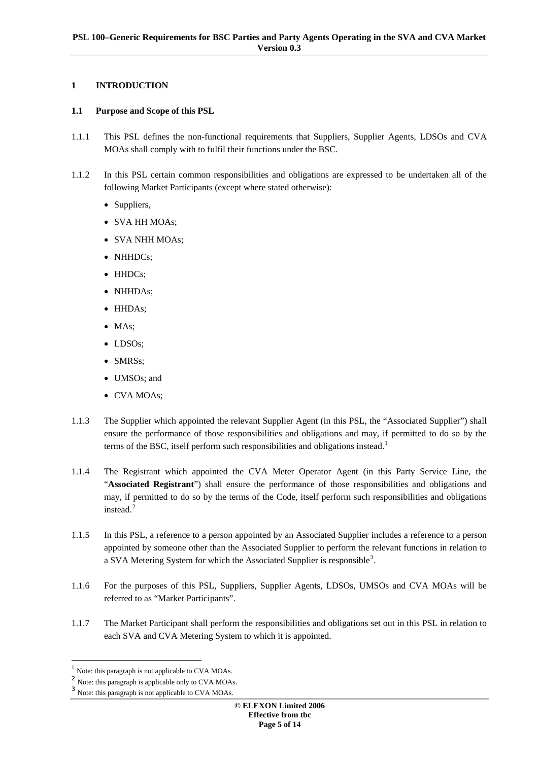## <span id="page-4-0"></span>**1 INTRODUCTION**

## **1.1 Purpose and Scope of this PSL**

- 1.1.1 This PSL defines the non-functional requirements that Suppliers, Supplier Agents, LDSOs and CVA MOAs shall comply with to fulfil their functions under the BSC.
- 1.1.2 In this PSL certain common responsibilities and obligations are expressed to be undertaken all of the following Market Participants (except where stated otherwise):
	- Suppliers,
	- SVA HH MOAs;
	- SVA NHH MOAs;
	- NHHDCs:
	- HHDCs:
	- NHHDAs;
	- HHDAs;
	- MAs;
	- LDSOs;
	- SMRSs;
	- UMSOs; and
	- CVA MOAs;
- 1.1.3 The Supplier which appointed the relevant Supplier Agent (in this PSL, the "Associated Supplier") shall ensure the performance of those responsibilities and obligations and may, if permitted to do so by the terms of the BSC, itself perform such responsibilities and obligations instead.<sup>[1](#page-4-1)</sup>
- 1.1.4 The Registrant which appointed the CVA Meter Operator Agent (in this Party Service Line, the "**Associated Registrant**") shall ensure the performance of those responsibilities and obligations and may, if permitted to do so by the terms of the Code, itself perform such responsibilities and obligations instead.<sup>[2](#page-4-2)</sup>
- 1.1.5 In this PSL, a reference to a person appointed by an Associated Supplier includes a reference to a person appointed by someone other than the Associated Supplier to perform the relevant functions in relation to a SVA Metering System for which the Associated Supplier is responsible<sup>[3](#page-4-3)</sup>.
- 1.1.6 For the purposes of this PSL, Suppliers, Supplier Agents, LDSOs, UMSOs and CVA MOAs will be referred to as "Market Participants".
- 1.1.7 The Market Participant shall perform the responsibilities and obligations set out in this PSL in relation to each SVA and CVA Metering System to which it is appointed.

<span id="page-4-1"></span><sup>&</sup>lt;sup>1</sup> Note: this paragraph is not applicable to CVA MOAs.

<span id="page-4-2"></span><sup>&</sup>lt;sup>2</sup> Note: this paragraph is applicable only to CVA MOAs.

<span id="page-4-3"></span>Note: this paragraph is not applicable to CVA MOAs.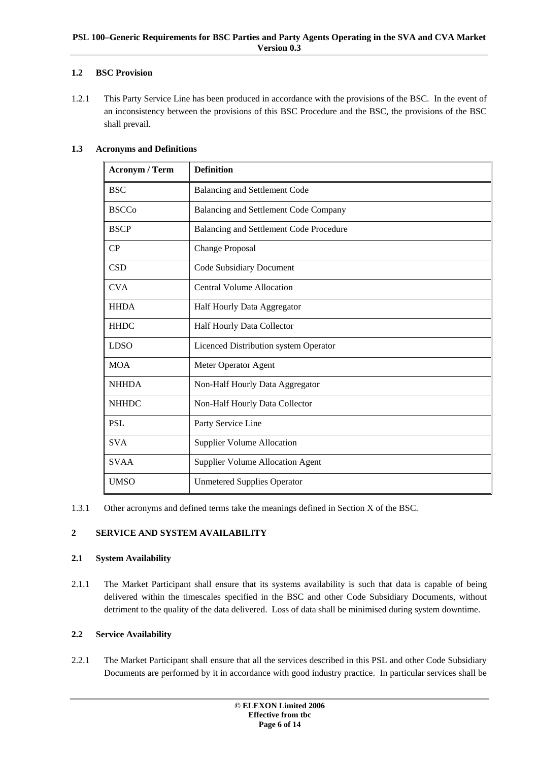## <span id="page-5-0"></span>**1.2 BSC Provision**

1.2.1 This Party Service Line has been produced in accordance with the provisions of the BSC. In the event of an inconsistency between the provisions of this BSC Procedure and the BSC, the provisions of the BSC shall prevail.

## **1.3 Acronyms and Definitions**

| <b>Acronym / Term</b> | <b>Definition</b>                       |
|-----------------------|-----------------------------------------|
| <b>BSC</b>            | <b>Balancing and Settlement Code</b>    |
| <b>BSCCo</b>          | Balancing and Settlement Code Company   |
| <b>BSCP</b>           | Balancing and Settlement Code Procedure |
| CP                    | <b>Change Proposal</b>                  |
| <b>CSD</b>            | Code Subsidiary Document                |
| <b>CVA</b>            | <b>Central Volume Allocation</b>        |
| <b>HHDA</b>           | Half Hourly Data Aggregator             |
| <b>HHDC</b>           | Half Hourly Data Collector              |
| <b>LDSO</b>           | Licenced Distribution system Operator   |
| <b>MOA</b>            | Meter Operator Agent                    |
| <b>NHHDA</b>          | Non-Half Hourly Data Aggregator         |
| <b>NHHDC</b>          | Non-Half Hourly Data Collector          |
| <b>PSL</b>            | Party Service Line                      |
| <b>SVA</b>            | <b>Supplier Volume Allocation</b>       |
| <b>SVAA</b>           | <b>Supplier Volume Allocation Agent</b> |
| <b>UMSO</b>           | <b>Unmetered Supplies Operator</b>      |

1.3.1 Other acronyms and defined terms take the meanings defined in Section X of the BSC.

## **2 SERVICE AND SYSTEM AVAILABILITY**

## **2.1 System Availability**

2.1.1 The Market Participant shall ensure that its systems availability is such that data is capable of being delivered within the timescales specified in the BSC and other Code Subsidiary Documents, without detriment to the quality of the data delivered. Loss of data shall be minimised during system downtime.

## **2.2 Service Availability**

2.2.1 The Market Participant shall ensure that all the services described in this PSL and other Code Subsidiary Documents are performed by it in accordance with good industry practice. In particular services shall be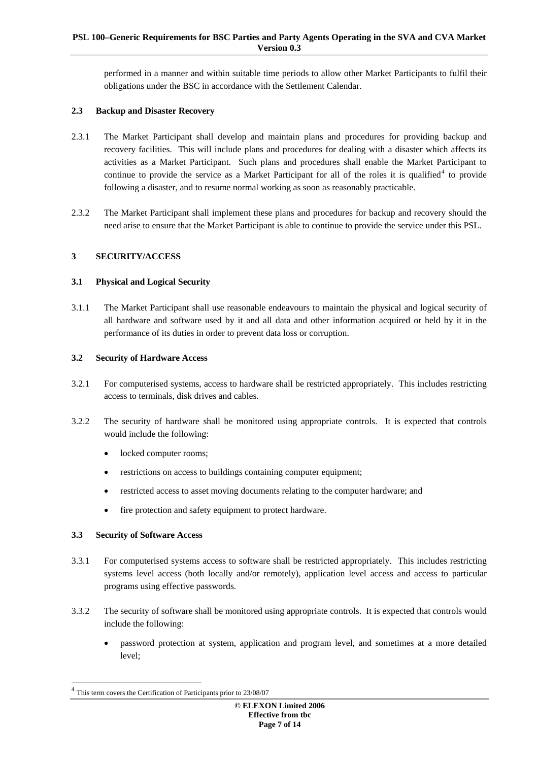<span id="page-6-0"></span>performed in a manner and within suitable time periods to allow other Market Participants to fulfil their obligations under the BSC in accordance with the Settlement Calendar.

## **2.3 Backup and Disaster Recovery**

- 2.3.1 The Market Participant shall develop and maintain plans and procedures for providing backup and recovery facilities. This will include plans and procedures for dealing with a disaster which affects its activities as a Market Participant. Such plans and procedures shall enable the Market Participant to continue to provide the service as a Market Participant for all of the roles it is qualified<sup>[4](#page-6-1)</sup> to provide following a disaster, and to resume normal working as soon as reasonably practicable.
- 2.3.2 The Market Participant shall implement these plans and procedures for backup and recovery should the need arise to ensure that the Market Participant is able to continue to provide the service under this PSL.

#### <span id="page-6-2"></span>**3 SECURITY/ACCESS**

## **3.1 Physical and Logical Security**

3.1.1 The Market Participant shall use reasonable endeavours to maintain the physical and logical security of all hardware and software used by it and all data and other information acquired or held by it in the performance of its duties in order to prevent data loss or corruption.

#### **3.2 Security of Hardware Access**

- 3.2.1 For computerised systems, access to hardware shall be restricted appropriately. This includes restricting access to terminals, disk drives and cables.
- 3.2.2 The security of hardware shall be monitored using appropriate controls. It is expected that controls would include the following:
	- locked computer rooms;
	- restrictions on access to buildings containing computer equipment;
	- restricted access to asset moving documents relating to the computer hardware; and
	- fire protection and safety equipment to protect hardware.

## **3.3 Security of Software Access**

- 3.3.1 For computerised systems access to software shall be restricted appropriately. This includes restricting systems level access (both locally and/or remotely), application level access and access to particular programs using effective passwords.
- 3.3.2 The security of software shall be monitored using appropriate controls. It is expected that controls would include the following:
	- password protection at system, application and program level, and sometimes at a more detailed level;

<span id="page-6-1"></span>This term covers the Certification of Participants prior to 23/08/07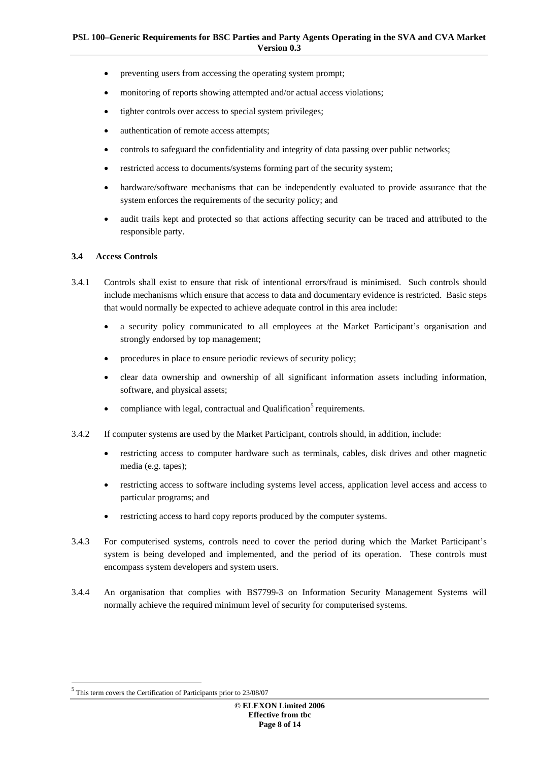- <span id="page-7-0"></span>• preventing users from accessing the operating system prompt;
- monitoring of reports showing attempted and/or actual access violations;
- tighter controls over access to special system privileges;
- authentication of remote access attempts;
- controls to safeguard the confidentiality and integrity of data passing over public networks;
- restricted access to documents/systems forming part of the security system;
- hardware/software mechanisms that can be independently evaluated to provide assurance that the system enforces the requirements of the security policy; and
- audit trails kept and protected so that actions affecting security can be traced and attributed to the responsible party.

#### **3.4 Access Controls**

- 3.4.1 Controls shall exist to ensure that risk of intentional errors/fraud is minimised. Such controls should include mechanisms which ensure that access to data and documentary evidence is restricted. Basic steps that would normally be expected to achieve adequate control in this area include:
	- a security policy communicated to all employees at the Market Participant's organisation and strongly endorsed by top management;
	- procedures in place to ensure periodic reviews of security policy;
	- clear data ownership and ownership of all significant information assets including information, software, and physical assets;
	- compliance with legal, contractual and Qualification<sup>[5](#page-7-1)</sup> requirements.
- 3.4.2 If computer systems are used by the Market Participant, controls should, in addition, include:
	- restricting access to computer hardware such as terminals, cables, disk drives and other magnetic media (e.g. tapes);
	- restricting access to software including systems level access, application level access and access to particular programs; and
	- restricting access to hard copy reports produced by the computer systems.
- 3.4.3 For computerised systems, controls need to cover the period during which the Market Participant's system is being developed and implemented, and the period of its operation. These controls must encompass system developers and system users.
- 3.4.4 An organisation that complies with BS7799-3 on Information Security Management Systems will normally achieve the required minimum level of security for computerised systems.

<span id="page-7-1"></span> $^5$  This term covers the Certification of Participants prior to  $23/08/07$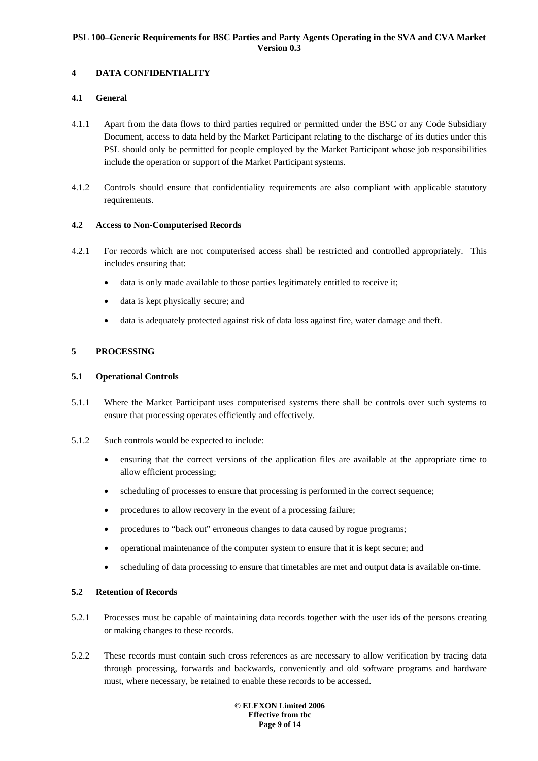## <span id="page-8-0"></span>**4 DATA CONFIDENTIALITY**

## **4.1 General**

- 4.1.1 Apart from the data flows to third parties required or permitted under the BSC or any Code Subsidiary Document, access to data held by the Market Participant relating to the discharge of its duties under this PSL should only be permitted for people employed by the Market Participant whose job responsibilities include the operation or support of the Market Participant systems.
- 4.1.2 Controls should ensure that confidentiality requirements are also compliant with applicable statutory requirements.

#### **4.2 Access to Non-Computerised Records**

- 4.2.1 For records which are not computerised access shall be restricted and controlled appropriately. This includes ensuring that:
	- data is only made available to those parties legitimately entitled to receive it;
	- data is kept physically secure; and
	- data is adequately protected against risk of data loss against fire, water damage and theft.

#### **5 PROCESSING**

#### **5.1 Operational Controls**

- 5.1.1 Where the Market Participant uses computerised systems there shall be controls over such systems to ensure that processing operates efficiently and effectively.
- 5.1.2 Such controls would be expected to include:
	- ensuring that the correct versions of the application files are available at the appropriate time to allow efficient processing;
	- scheduling of processes to ensure that processing is performed in the correct sequence;
	- procedures to allow recovery in the event of a processing failure;
	- procedures to "back out" erroneous changes to data caused by rogue programs;
	- operational maintenance of the computer system to ensure that it is kept secure; and
	- scheduling of data processing to ensure that timetables are met and output data is available on-time.

#### **5.2 Retention of Records**

- 5.2.1 Processes must be capable of maintaining data records together with the user ids of the persons creating or making changes to these records.
- 5.2.2 These records must contain such cross references as are necessary to allow verification by tracing data through processing, forwards and backwards, conveniently and old software programs and hardware must, where necessary, be retained to enable these records to be accessed.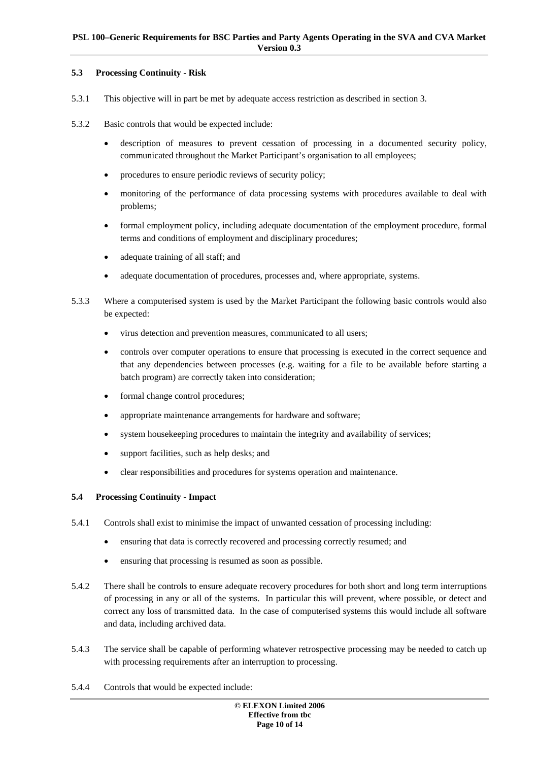#### <span id="page-9-0"></span>**5.3 Processing Continuity - Risk**

- 5.3.1 This objective will in part be met by adequate access restriction as described in section [3.](#page-6-2)
- 5.3.2 Basic controls that would be expected include:
	- description of measures to prevent cessation of processing in a documented security policy, communicated throughout the Market Participant's organisation to all employees;
	- procedures to ensure periodic reviews of security policy;
	- monitoring of the performance of data processing systems with procedures available to deal with problems;
	- formal employment policy, including adequate documentation of the employment procedure, formal terms and conditions of employment and disciplinary procedures;
	- adequate training of all staff; and
	- adequate documentation of procedures, processes and, where appropriate, systems.
- 5.3.3 Where a computerised system is used by the Market Participant the following basic controls would also be expected:
	- virus detection and prevention measures, communicated to all users;
	- controls over computer operations to ensure that processing is executed in the correct sequence and that any dependencies between processes (e.g. waiting for a file to be available before starting a batch program) are correctly taken into consideration;
	- formal change control procedures;
	- appropriate maintenance arrangements for hardware and software;
	- system housekeeping procedures to maintain the integrity and availability of services;
	- support facilities, such as help desks; and
	- clear responsibilities and procedures for systems operation and maintenance.

## **5.4 Processing Continuity - Impact**

- 5.4.1 Controls shall exist to minimise the impact of unwanted cessation of processing including:
	- ensuring that data is correctly recovered and processing correctly resumed; and
	- ensuring that processing is resumed as soon as possible.
- 5.4.2 There shall be controls to ensure adequate recovery procedures for both short and long term interruptions of processing in any or all of the systems. In particular this will prevent, where possible, or detect and correct any loss of transmitted data. In the case of computerised systems this would include all software and data, including archived data.
- 5.4.3 The service shall be capable of performing whatever retrospective processing may be needed to catch up with processing requirements after an interruption to processing.
- 5.4.4 Controls that would be expected include: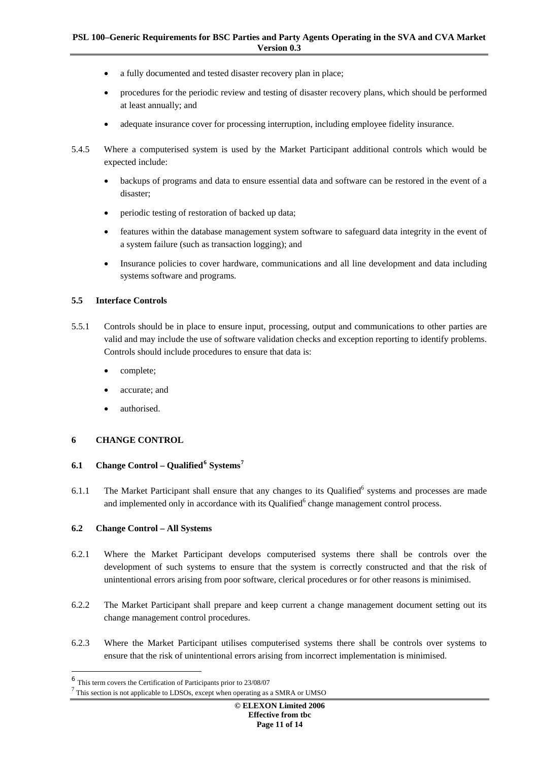- <span id="page-10-0"></span>a fully documented and tested disaster recovery plan in place;
- procedures for the periodic review and testing of disaster recovery plans, which should be performed at least annually; and
- adequate insurance cover for processing interruption, including employee fidelity insurance.
- 5.4.5 Where a computerised system is used by the Market Participant additional controls which would be expected include:
	- backups of programs and data to ensure essential data and software can be restored in the event of a disaster;
	- periodic testing of restoration of backed up data;
	- features within the database management system software to safeguard data integrity in the event of a system failure (such as transaction logging); and
	- Insurance policies to cover hardware, communications and all line development and data including systems software and programs.

#### **5.5 Interface Controls**

- 5.5.1 Controls should be in place to ensure input, processing, output and communications to other parties are valid and may include the use of software validation checks and exception reporting to identify problems. Controls should include procedures to ensure that data is:
	- complete;
	- accurate; and
	- authorised.

## **6 CHANGE CONTROL**

## **6.1 Change Control – Qualified[6](#page-10-1) Systems[7](#page-10-2)**

6.1.1 The Market Participant shall ensure that any changes to its Qualified<sup>6</sup> systems and processes are made and implemented only in accordance with its Qualified $<sup>6</sup>$  change management control process.</sup>

## **6.2 Change Control – All Systems**

- 6.2.1 Where the Market Participant develops computerised systems there shall be controls over the development of such systems to ensure that the system is correctly constructed and that the risk of unintentional errors arising from poor software, clerical procedures or for other reasons is minimised.
- 6.2.2 The Market Participant shall prepare and keep current a change management document setting out its change management control procedures.
- 6.2.3 Where the Market Participant utilises computerised systems there shall be controls over systems to ensure that the risk of unintentional errors arising from incorrect implementation is minimised.

<span id="page-10-1"></span><sup>&</sup>lt;sup>6</sup> This term covers the Certification of Participants prior to 23/08/07

<span id="page-10-2"></span> $7$  This section is not applicable to LDSOs, except when operating as a SMRA or UMSO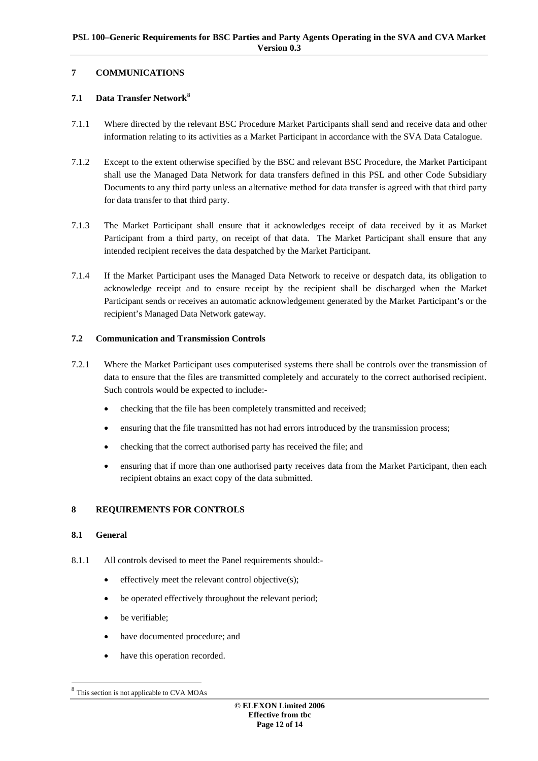## <span id="page-11-0"></span>**7 COMMUNICATIONS**

## **7.1 Data Transfer Network[8](#page-11-1)**

- 7.1.1 Where directed by the relevant BSC Procedure Market Participants shall send and receive data and other information relating to its activities as a Market Participant in accordance with the SVA Data Catalogue.
- 7.1.2 Except to the extent otherwise specified by the BSC and relevant BSC Procedure, the Market Participant shall use the Managed Data Network for data transfers defined in this PSL and other Code Subsidiary Documents to any third party unless an alternative method for data transfer is agreed with that third party for data transfer to that third party.
- 7.1.3 The Market Participant shall ensure that it acknowledges receipt of data received by it as Market Participant from a third party, on receipt of that data. The Market Participant shall ensure that any intended recipient receives the data despatched by the Market Participant.
- 7.1.4 If the Market Participant uses the Managed Data Network to receive or despatch data, its obligation to acknowledge receipt and to ensure receipt by the recipient shall be discharged when the Market Participant sends or receives an automatic acknowledgement generated by the Market Participant's or the recipient's Managed Data Network gateway.

## **7.2 Communication and Transmission Controls**

- 7.2.1 Where the Market Participant uses computerised systems there shall be controls over the transmission of data to ensure that the files are transmitted completely and accurately to the correct authorised recipient. Such controls would be expected to include:-
	- checking that the file has been completely transmitted and received;
	- ensuring that the file transmitted has not had errors introduced by the transmission process;
	- checking that the correct authorised party has received the file; and
	- ensuring that if more than one authorised party receives data from the Market Participant, then each recipient obtains an exact copy of the data submitted.

## **8 REQUIREMENTS FOR CONTROLS**

#### **8.1 General**

- 8.1.1 All controls devised to meet the Panel requirements should:
	- effectively meet the relevant control objective(s);
	- be operated effectively throughout the relevant period;
	- be verifiable;
	- have documented procedure; and
	- have this operation recorded.

<span id="page-11-1"></span>This section is not applicable to CVA MOAs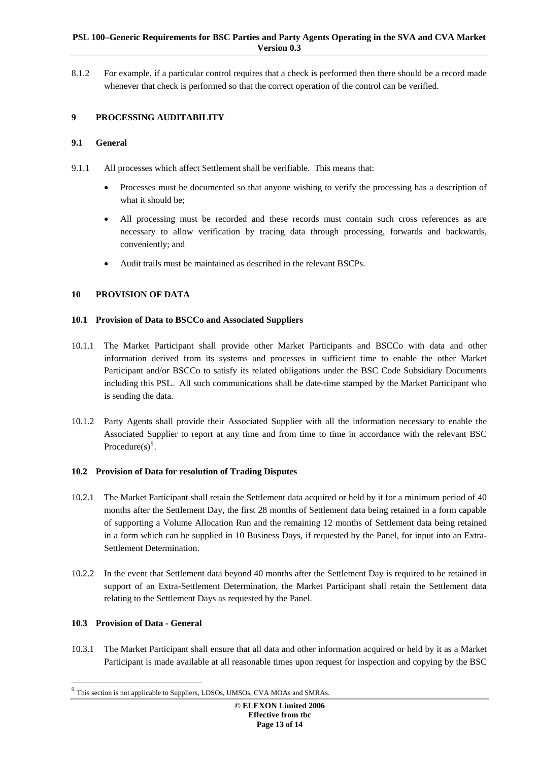#### <span id="page-12-0"></span>**PSL 100–Generic Requirements for BSC Parties and Party Agents Operating in the SVA and CVA Market Version 0.3**

8.1.2 For example, if a particular control requires that a check is performed then there should be a record made whenever that check is performed so that the correct operation of the control can be verified.

## **9 PROCESSING AUDITABILITY**

#### **9.1 General**

- 9.1.1 All processes which affect Settlement shall be verifiable. This means that:
	- Processes must be documented so that anyone wishing to verify the processing has a description of what it should be;
	- All processing must be recorded and these records must contain such cross references as are necessary to allow verification by tracing data through processing, forwards and backwards, conveniently; and
	- Audit trails must be maintained as described in the relevant BSCPs.

## **10 PROVISION OF DATA**

#### **10.1 Provision of Data to BSCCo and Associated Suppliers**

- 10.1.1 The Market Participant shall provide other Market Participants and BSCCo with data and other information derived from its systems and processes in sufficient time to enable the other Market Participant and/or BSCCo to satisfy its related obligations under the BSC Code Subsidiary Documents including this PSL. All such communications shall be date-time stamped by the Market Participant who is sending the data.
- 10.1.2 Party Agents shall provide their Associated Supplier with all the information necessary to enable the Associated Supplier to report at any time and from time to time in accordance with the relevant BSC Procedure $(s)$ <sup>[9](#page-12-1)</sup>.

## **10.2 Provision of Data for resolution of Trading Disputes**

- 10.2.1 The Market Participant shall retain the Settlement data acquired or held by it for a minimum period of 40 months after the Settlement Day, the first 28 months of Settlement data being retained in a form capable of supporting a Volume Allocation Run and the remaining 12 months of Settlement data being retained in a form which can be supplied in 10 Business Days, if requested by the Panel, for input into an Extra-Settlement Determination.
- 10.2.2 In the event that Settlement data beyond 40 months after the Settlement Day is required to be retained in support of an Extra-Settlement Determination, the Market Participant shall retain the Settlement data relating to the Settlement Days as requested by the Panel.

## **10.3 Provision of Data - General**

-

10.3.1 The Market Participant shall ensure that all data and other information acquired or held by it as a Market Participant is made available at all reasonable times upon request for inspection and copying by the BSC

<span id="page-12-1"></span>This section is not applicable to Suppliers, LDSOs, UMSOs, CVA MOAs and SMRAs.